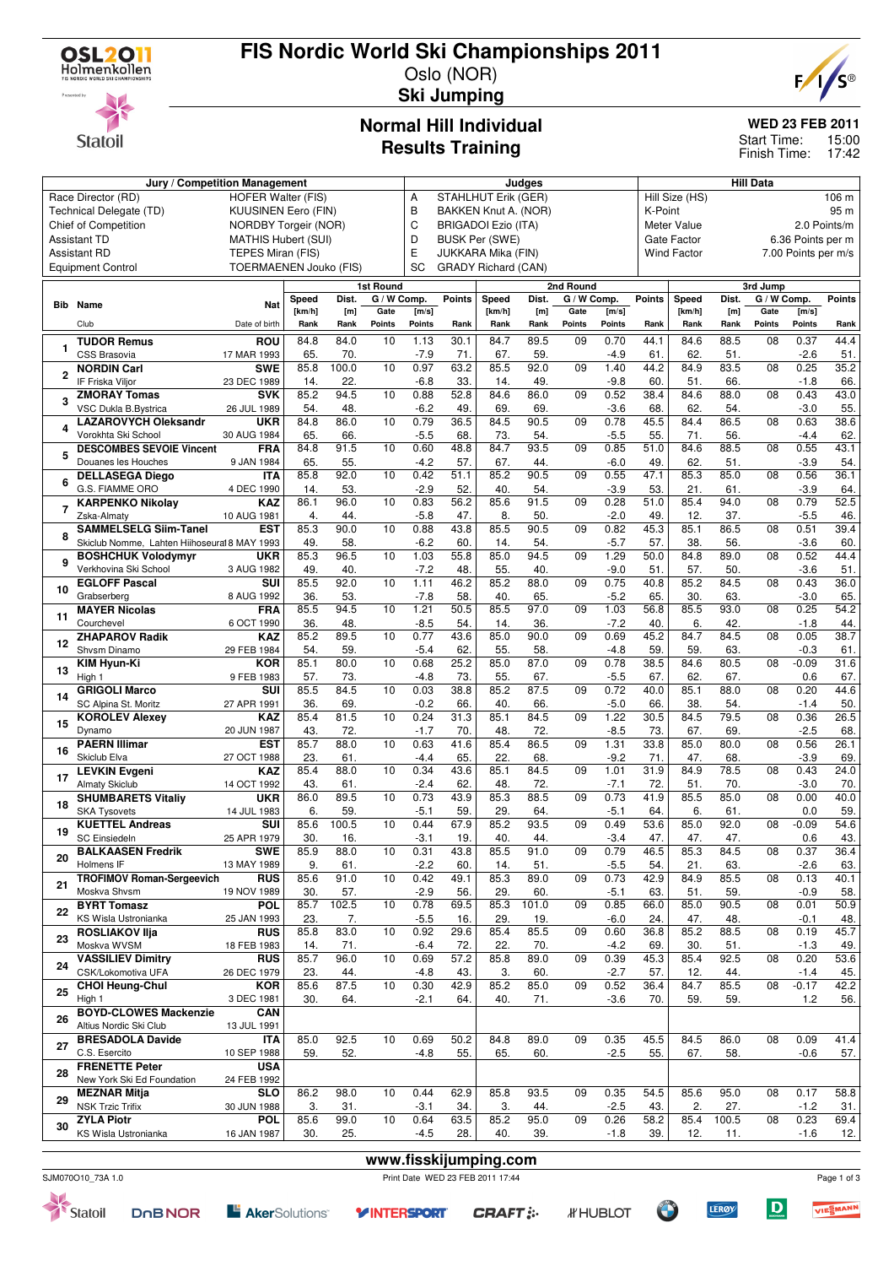

# **FIS Nordic World Ski Championships 2011**





### Oslo (NOR) **Ski Jumping**

#### **Normal Hill Individual Results Training**

### **WED 23 FEB 2011**

15:00 17:42 Start Time: Finish Time:

#### **Jury / Competition Management Judges Hill Data** Race Director (RD) HOFER Walter (FIS) Technical Delegate (TD) KUUSINEN Eero (FIN) Chief of Competition NORDBY Torgeir (NOR) Assistant TD MATHIS Hubert (SUI) Assistant RD TEPES Miran (FIS) Equipment Control TOERMAENEN Jouko (FIS) A STAHLHUT Erik (GER)<br>B BAKKEN Knut A. (NOF BAKKEN Knut A. (NOR) C BRIGADOI Ezio (ITA) D BUSK Per (SWE) E JUKKARA Mika (FIN) SC GRADY Richard (CAN) Hill Size (HS) 106 m K-Point 95 m Meter Value 2.0 Points/m Gate Factor 6.36 Points per m Wind Factor 7.00 Points per m/s **Bib Name** Club **Nat** Date of birth **1st Round Speed Dist. [km/h] [m] Rank Rank G / W Comp. Gate Points [m/s] Points Points Rank 2nd Round Speed Dist. [km/h] [m] Rank Rank G / W Comp. Gate Points [m/s] Points Points Rank 3rd Jump Speed Dist. [km/h] [m] Rank Rank G / W Comp. Gate Points [m/s] Points Points Rank 1 TUDOR Remus** CSS Brasovia **ROU** 17 MAR 1993 84.8 84.0  $\frac{65.}{85.8}$  100.0 10 1.13 30.1 -7.9 71.<br>0.97 63.2 84.7 89.5  $\frac{67}{85.5}$  92.0 09 0.70 44.1  $-4.9$ 84.6 88.5<br>62. 51 51. 08 0.37 44.4  $\frac{-2.6}{0.25}$  51. **2 NORDIN Carl** IF Friska Viljor **SWE** 23 DEC 1989 100.0  $\frac{14.}{85.2}$   $\frac{22}{94}$  $10 0.97$ -6.8 33. 92.0 14. 49. 09 1.40 44.2 -9.8 60. 84.9 83.5 51. 66.  $08$   $0.25$ -1.8 66. **3 ZMORAY Tomas** VSC Dukla B.Bystrica **SVK** 26 JUL 1989 94.5 54. 48. 10 0.88 52.8  $-6.2$  49 84.6 86.0 69. 69. 09 0.52 38.4  $-3.6$  68 84.6 88.0 62. 54. 08 0.43 43.0  $-3.0$  55. **4 LAZAROVYCH Oleksandr** Vorokhta Ski School **UKR** 30 AUG 1984 84.8 86.0 65. 66. 10 0.79 36.5  $-5.5$  68 84.5 90.5 73. 54. 09 0.78 45.5  $-5.5$  55 84.4 86.5 71. 56. 08 0.63 38.6  $-4.4$  62 **5 DESCOMBES SEVOIE Vincent** Douanes les Houches **FRA** 9 JAN 1984 84.8 91.5 65. 55. 10 0.60 48.8  $-4.2$  57 84.7 93.5 67. 44. 09 0.85 51.0 -6.0 49. 84.6 88.5 62. 51. 08 0.55 43.1 -3.9 54. **6 DELLASEGA Diego** G.S. FIAMME ORO **ITA** 4 DEC 1990  $85.8$  92.0  $\frac{14.}{86.1}$   $\frac{53}{96.0}$  $10 \t 0.42 \t 51.1$  $\frac{-2.9}{0.83}$  52.  $85.2$   $90.5$  $\frac{40.}{35.6}$  91.5 09 0.55 47.1  $\frac{-3.9}{0.28}$  51.0  $85.3$   $85.0$  $\frac{21.}{85.4}$  61 08 0.56 36.1  $-3.9$  64.<br>0.79 52.5 **7 KARPENKO Nikolay** Zska-Almaty **KAZ** 10 AUG 1981 86.1 96.0 4. 44.  $10 \t 0.83$  $-5.8$  47 85.6 8. 50.  $0.28$  $-2.0$  49 85.4 94.0<br>12. 37. 12. 37. 08 0.79 52.5<br>-5.5 46.  $-5.5$ **8 SAMMELSELG Siim-Tanel** Skiclub Nomme, Lahten Hiihoseura 18 MAY 1993 **EST** 85.3 90.0 49. 58. 10 0.88 43.8  $-6.2$  60 85.5 90.5 14. 54. 09 0.82 45.3  $-5.7$  57 85.1 86.5 38. 56. 08 0.51 39.4 -3.6 60. **9 BOSHCHUK Volodymyr** Verkhovina Ski School **UKR** 3 AUG 1982 85.3 96.5  $\frac{49.}{85.5}$  92.0 10 1.03 55.8  $-7.2$  48 85.0 94.5  $\frac{55.}{85.2}$   $\frac{40}{88.0}$ 09 1.29 50.0  $-9.0$  51.<br>0.75 40.8 84.8 89.0  $\frac{57.}{35.2}$   $\frac{50.}{34.5}$ 08 0.52 44.4  $-3.6$  51.<br>0.43 36.0 **<sup>10</sup> EGLOFF Pascal** Grabserberg **SUI** 8 AUG 1992 92.0 36. 53. 10 1.11 46.2 -7.8 58. 88.0 40. 65.  $0.9$   $0.75$  $-5.2$  65  $\frac{85.2}{30}$ 63  $0.43$ -3.0 65. **<sup>11</sup> MAYER Nicolas** Courchevel **FRA** 6 OCT 1990 85.5 94.5  $\frac{36.}{35.2}$  89.5 10 1.21 50.5  $-8.5$  54.<br>0.77 43.6 85.5 97.0  $\frac{14}{85.0}$  90.0 09 1.03 56.8  $-7.2$  40<br>0.69 45.2 85.5 93.0  $\frac{6.}{84.7}$   $\frac{42}{84.5}$ 08 0.25 54.2  $-1.8$  44<br>0.05 38.7 **<sup>12</sup> ZHAPAROV Radik** Shvsm Dinamo **KAZ** 29 FEB 1984  $\frac{85.2}{54}$  $\frac{54.}{85.1}$   $\frac{59}{80.0}$ 10 0.77 43.6  $-5.4$  6.68  $\frac{1}{55.0}$  90.0  $\frac{55.}{85.0}$   $\frac{58}{87.0}$ 09 0.69 45.2  $-4.8$  59<br>0.78 38.5 84.7 84.5<br>59. 63.  $\frac{63}{80.5}$ 08 0.05 38.7<br>0.3 61  $-0.3$ **<sup>13</sup> KIM Hyun-Ki** High 1 **KOR** 9 FEB 1983  $80.0$ 57. 73. 10 0.68 25.2 -4.8 73. 85.0 87.0 55. 67. 0.78 -5.5 67. 84.6 62. 67. 08 -0.09 31.6 0.6 67. **<sup>14</sup> GRIGOLI Marco** SC Alpina St. Moritz **SUI** 27 APR 1991 85.5 84.5 36. 69. 10 0.03 38.8  $-0.2$  66 85.2 87.5 40. 66. 09 0.72 40.0  $-5.0$  66 85.1 88.0 38. 54. 08 0.20 44.6  $-1.4$  50. **<sup>15</sup> KOROLEV Alexey** Dynamo **KAZ** 20 JUN 1987 85.4 81.5 43. 72. 10 0.24 31.3  $-1.7$  70 85.1 84.5 48. 72. 09 1.22 30.5 -8.5 73. 84.5 79.5 67. 69. 08 0.36 26.5  $-2.5$  68 **<sup>16</sup> PAERN Illimar** Skiclub Elva **EST** 27 OCT 1988 85.7 88.0 23. 61. 10 0.63 41.6  $-4.4$  65 85.4 86.5 22. 68. 09 1.31 33.8 -9.2 71. 85.0 80.0 47. 68. 08 0.56 26.1 -3.9 69. **<sup>17</sup> LEVKIN Evgeni** Almaty Skiclub **KAZ** 14 OCT 1992  $85.4$  88.0 43. 61. 10 0.34 43.6  $-2.4$  62.<br>0.73 43.9 85.1 84.5<br>48. 72.  $\frac{72}{88.5}$ 09 1.01 31.9  $-7.1$  72.<br>0.73 41.9 84.9 78.5<br>51. 70.  $\frac{51}{85.5}$   $\frac{70}{85.0}$ 08 0.43 24.0<br>-3.0 70.  $-3.0$  70.<br>0.00 40.0 **<sup>18</sup> SHUMBARETS Vitaliy** SKA Tysovets **UKR** 14 JUL 1983  $86.0$ 6. 59.  $10 \quad 0.73$  $-5.1$  59 85.3<br>.29 64  $09 \t 0.73$  $-5.1$  64  $85.0$ 6. 61. 08 0.00 40.0 59. **<sup>19</sup> KUETTEL Andreas** SC Einsiedeln **SUI** 25 APR 1979 85.6 100.5 30. 16. 10 0.44 67.9 -3.1 19. 85.2 93.5 40. 44. 09 0.49 53.6  $-3.4$   $47$ 85.0 92.0 47. 47. 08 -0.09 54.6 0.6 43. **<sup>20</sup> BALKAASEN Fredrik** Holmens IF **SWE** 13 MAY 1989 85.9 88.0  $\frac{9.}{856}$   $\frac{61}{91}$ 10 0.31 43.8  $-2.2$  60<br>0.42 49.1  $85.5$  91.0  $\frac{14.}{85.3}$   $\frac{51}{89.0}$ 09 0.79 46.5  $-5.5$  54.<br>0.73 42.9 85.3 84.5  $\frac{21.}{34.9}$   $\frac{63}{85.5}$ 08 0.37 36.4  $-2.6$  63.<br>0.13 40.1 **<sup>21</sup> TROFIMOV Roman-Sergeevich** Moskva Shvsm **RUS** 19 NOV 1989  $91.6$ 30. 57.  $10 \t 0.42$  $-2.9$  56 89.0 29. 60.  $0.9 \quad 0.73$ -5.1 63.  $84.9$ 51. 59.  $08 \t 0.13$ -0.9 58. **<sup>22</sup> BYRT Tomasz** KS Wisla Ustronianka **POL** 25 JAN 1993 85.7 102.5  $\frac{23.}{85.8}$  83.0 10 0.78 69.5 -5.5 16. 85.3 101.0  $\frac{29.}{85.4}$   $\frac{19}{85.5}$ 09 0.85 66.0  $-6.0$  24 85.0 90.5 47. 48<br>85.2 88.5 08 0.01 50.9  $-0.1$  48<br>0.19 45.7 **<sup>23</sup> ROSLIAKOV Ilja** Moskva WVSM **RUS** 18 FEB 1983  $\frac{1}{5.8}$  83.0  $\frac{71}{96.0}$ 10 0.92 29.6  $-6.4$  0.69  $\frac{1}{22}$ ,  $\frac{85.5}{70}$  $\frac{22.}{85.8}$   $\frac{70}{89.0}$ 09 0.60 36.8  $-4.2$  $\overline{35.2}$   $\overline{88.5}$ <br> $\overline{30.}$   $\overline{51.}$  $\frac{30.}{85.4}$   $\frac{51}{92.5}$ 08 0.19 45.7  $-1.3$  49.<br>0.20 53.6 **<sup>24</sup> VASSILIEV Dimitry** CSK/Lokomotiva UFA **RUS** 26 DEC 1979  $85.7$ 23. 44. 10 0.69 57.2  $-4.8$   $43.$ 85.8 89.0 3. 60. 09 0.39 45.3 -2.7 57. 85.4 92.5 12. 44. 0.20  $-14$   $45$ **<sup>25</sup> CHOI Heung-Chul** High 1 **KOR** 3 DEC 1981 85.6 87.5 30. 64. 10 0.30 42.9  $-2.1$  64 85.2 85.0 40. 71. 09 0.52 36.4 -3.6 70. 84.7 85.5 59. 59. 08 -0.17 42.2 1.2 56. **<sup>26</sup> BOYD-CLOWES Mackenzie** Altius Nordic Ski Club **CAN** 13 JUL 1991 **<sup>27</sup> BRESADOLA Davide** C.S. Esercito **ITA** 10 SEP 1988 85.0 92.5 59. 52. 10 0.69 50.2 -4.8 55. 84.8 89.0 65. 60. 09 0.35 45.5  $-2.5$ 84.5 86.0 67. 58. 08 0.09 41.4  $-0.6$  57 **<sup>28</sup> FRENETTE Peter** New York Ski Ed Foundation **USA** 24 FEB 1992 **<sup>29</sup> MEZNAR Mitja** NSK Trzic Trifix **SLO** 30 JUN 1988 86.2 98.0 3. 31. 10 0.44 62.9  $-3.1$   $34.$ 85.8 93.5 3. 44. 09 0.35 54.5  $-2.5$  43 85.6 95.0 2. 27. 08 0.17 58.8  $-1.2$  31 **<sup>30</sup> ZYLA Piotr** KS Wisla Ustronianka **POL** 16 JAN 1987 85.6 99.0 30. 25. 10 0.64 63.5  $-4.5$  28 85.2 95.0 40. 39. 09 0.26 58.2 -1.8 39. 85.4 100.5 12. 11. 08 0.23 69.4  $-1.6$  12







VIESMANN

 $\mathbf D$ 

**LERØY**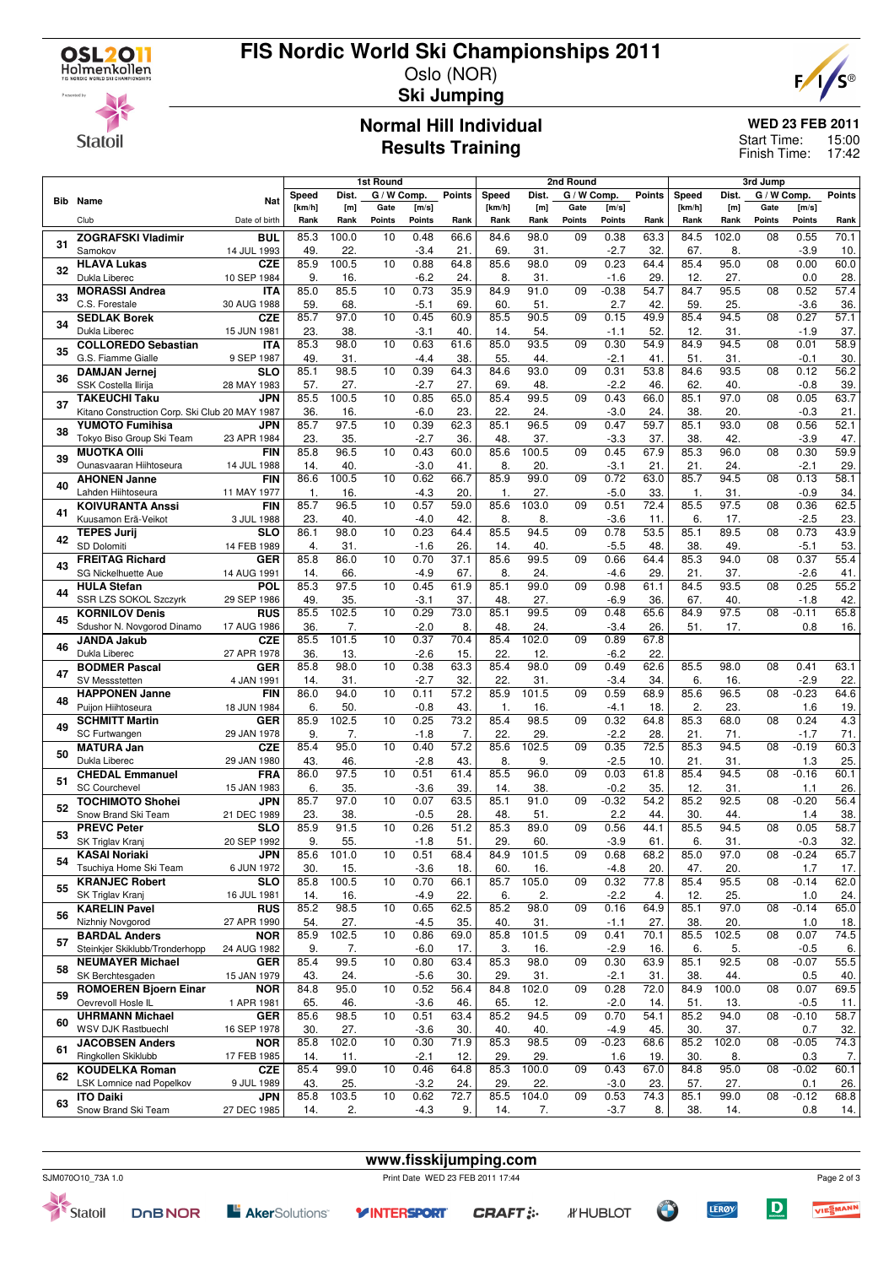

### **FIS Nordic World Ski Championships 2011** Oslo (NOR)



**Statoil** 

# **Ski Jumping**

# **Normal Hill Individual Results Training**

**WED 23 FEB 2011**

Start Time: 15:00 Finish Time: 17:42

|    |                                                           |                           | 1st Round   |              |             |                | 2nd Round         |             |              |                 | 3rd Jump       |               |             |                   |                 |                   |               |
|----|-----------------------------------------------------------|---------------------------|-------------|--------------|-------------|----------------|-------------------|-------------|--------------|-----------------|----------------|---------------|-------------|-------------------|-----------------|-------------------|---------------|
|    |                                                           |                           | Speed       | Dist.        | G / W Comp. |                | <b>Points</b>     | Speed       | Dist.        | G / W Comp.     |                | <b>Points</b> | Speed       | Dist.             | G / W Comp.     |                   | <b>Points</b> |
|    | <b>Bib</b> Name                                           | Nat                       | [km/h]      | [m]          | Gate        | [m/s]          |                   | [km/h]      | [m]          | Gate            | [m/s]          |               | [km/h]      | [ <sub>m</sub> ]  | Gate            | [m/s]             |               |
|    | Club                                                      | Date of birth             | Rank        | Rank         | Points      | Points         | Rank              | Rank        | Rank         | Points          | <b>Points</b>  | Rank          | Rank        | Rank              | Points          | Points            | Rank          |
| 31 | <b>ZOGRAFSKI Vladimir</b>                                 | <b>BUL</b>                | 85.3        | 100.0        | 10          | 0.48           | 66.6              | 84.6        | 98.0         | 09              | 0.38           | 63.3          | 84.5        | 102.0             | 08              | 0.55              | 70.1          |
|    | Samokov<br><b>HLAVA Lukas</b>                             | 14 JUL 1993<br><b>CZE</b> | 49<br>85.9  | 22.<br>100.5 | 10          | $-3.4$<br>0.88 | 21.<br>64.8       | 69<br>85.6  | 31.<br>98.0  | 09              | $-2.7$<br>0.23 | 32.<br>64.4   | 67.<br>85.4 | 8.<br>95.0        | $\overline{08}$ | $-3.9$<br>0.00    | 10.<br>60.0   |
| 32 | Dukla Liberec                                             | 10 SEP 1984               | 9.          | 16.          |             | $-6.2$         | 24.               | 8.          | 31.          |                 | $-1.6$         | 29            | 12.         | 27.               |                 | 0.0               | 28.           |
|    | <b>MORASSI Andrea</b>                                     | <b>ITA</b>                | 85.0        | 85.5         | 10          | 0.73           | 35.9              | 84.9        | 91.0         | 09              | $-0.38$        | 54.7          | 84.7        | 95.5              | 08              | 0.52              | 57.4          |
| 33 | C.S. Forestale                                            | 30 AUG 1988               | 59          | 68.          |             | $-5.1$         | 69                | 60          | 51.          |                 | 2.7            | 42            | 59          | 25.               |                 | $-3.6$            | 36.           |
| 34 | <b>SEDLAK Borek</b>                                       | <b>CZE</b>                | 85.7        | 97.0         | 10          | 0.45           | 60.9              | 85.5        | 90.5         | 09              | 0.15           | 49.9          | 85.4        | 94.5              | 08              | 0.27              | 57.1          |
|    | Dukla Liberec                                             | 15 JUN 1981               | 23.         | 38.          |             | $-3.1$         | 40.               | 14.         | 54.          |                 | $-1.1$         | 52            | 12.         | 31.               |                 | $-1.9$            | 37.           |
| 35 | <b>COLLOREDO Sebastian</b>                                | <b>ITA</b>                | 85.3        | 98.0         | 10          | 0.63           | 61.6              | 85.0        | 93.5         | $\overline{09}$ | 0.30           | 54.9          | 84.9        | 94.5              | $\overline{08}$ | 0.01              | 58.9          |
|    | G.S. Fiamme Gialle<br><b>DAMJAN Jernej</b>                | 9 SEP 1987<br><b>SLO</b>  | 49.<br>85.1 | 31.<br>98.5  | 10          | $-4.4$<br>0.39 | 38.<br>64.3       | 55.<br>84.6 | 44.<br>93.0  | 09              | $-2.1$<br>0.31 | 41.<br>53.8   | 51.<br>84.6 | 31.<br>93.5       | 08              | $-0.1$<br>0.12    | 30.<br>56.2   |
| 36 | SSK Costella Ilirija                                      | 28 MAY 1983               | 57.         | 27.          |             | $-2.7$         | 27.               | 69.         | 48.          |                 | $-2.2$         | 46.           | 62.         | 40.               |                 | $-0.8$            | 39.           |
|    | <b>TAKEUCHI Taku</b>                                      | <b>JPN</b>                | 85.5        | 100.5        | 10          | 0.85           | 65.0              | 85.4        | 99.5         | 09              | 0.43           | 66.0          | 85.1        | $\frac{97.0}{ }$  | $\overline{08}$ | 0.05              | 63.7          |
| 37 | Kitano Construction Corp. Ski Club 20 MAY 1987            |                           | 36.         | 16.          |             | $-6.0$         | 23.               | 22.         | 24.          |                 | $-3.0$         | 24.           | 38.         | 20.               |                 | $-0.3$            | 21.           |
| 38 | <b>YUMOTO Fumihisa</b>                                    | <b>JPN</b>                | 85.7        | 97.5         | 10          | 0.39           | 62.3              | 85.1        | 96.5         | 09              | 0.47           | 59.7          | 85.1        | 93.0              | 08              | 0.56              | 52.1          |
|    | Tokyo Biso Group Ski Team                                 | 23 APR 1984               | 23.         | 35.          |             | $-2.7$         | 36                | 48.         | 37.          |                 | $-3.3$         | 37.           | 38.         | 42.               |                 | $-3.9$            | 47.           |
| 39 | <b>MUOTKA OIII</b>                                        | <b>FIN</b>                | 85.8        | 96.5         | 10          | 0.43           | 60.0              | 85.6        | 100.5        | 09              | 0.45           | 67.9          | 85.3        | 96.0              | 08              | 0.30              | 59.9          |
|    | Ounasvaaran Hiihtoseura<br><b>AHONEN Janne</b>            | 14 JUL 1988<br><b>FIN</b> | 14.<br>86.6 | 40.<br>100.5 | 10          | $-3.0$<br>0.62 | 41<br>66.7        | 8.<br>85.9  | 20.<br>99.0  | 09              | $-3.1$<br>0.72 | 21<br>63.0    | 21.<br>85.7 | 24.<br>94.5       | $\overline{08}$ | $-2.1$<br>0.13    | 29.<br>58.1   |
| 40 | Lahden Hiihtoseura                                        | 11 MAY 1977               | 1.          | 16.          |             | $-4.3$         | 20                | 1.          | 27.          |                 | $-5.0$         | 33            | 1.          | 31.               |                 | $-0.9$            | 34.           |
|    | <b>KOIVURANTA Anssi</b>                                   | <b>FIN</b>                | 85.7        | 96.5         | 10          | 0.57           | 59.0              | 85.6        | 103.0        | 09              | 0.51           | 72.4          | 85.5        | 97.5              | 08              | 0.36              | 62.5          |
| 41 | Kuusamon Erä-Veikot                                       | 3 JUL 1988                | 23.         | 40.          |             | $-4.0$         | 42                | 8.          | 8.           |                 | $-3.6$         | 11.           | 6.          | 17.               |                 | $-2.5$            | 23.           |
| 42 | <b>TEPES Jurij</b>                                        | <b>SLO</b>                | 86.1        | 98.0         | 10          | 0.23           | 64.4              | 85.5        | 94.5         | 09              | 0.78           | 53.5          | 85.1        | 89.5              | 08              | 0.73              | 43.9          |
|    | SD Dolomiti                                               | 14 FEB 1989               | 4.          | 31.          |             | $-1.6$         | 26                | 14.         | 40.          |                 | $-5.5$         | 48.           | 38.         | 49.               |                 | $-5.1$            | 53.           |
| 43 | <b>FREITAG Richard</b>                                    | <b>GER</b>                | 85.8        | 86.0         | 10          | 0.70           | 37.1              | 85.6        | 99.5         | $\overline{09}$ | 0.66           | 64.4          | 85.3        | 94.0              | $\overline{08}$ | 0.37              | 55.4          |
|    | SG Nickelhuette Aue<br><b>HULA Stefan</b>                 | 14 AUG 1991<br><b>POL</b> | 14.<br>85.3 | 66.<br>97.5  | 10          | $-4.9$<br>0.45 | 67<br>61.9        | 8.<br>85.1  | 24.<br>99.0  | 09              | $-4.6$<br>0.98 | 29<br>61.1    | 21.<br>84.5 | 37.<br>93.5       | 08              | $-2.6$<br>0.25    | 41.<br>55.2   |
| 44 | SSR LZS SOKOL Szczyrk                                     | 29 SEP 1986               | 49.         | 35.          |             | $-3.1$         | 37.               | 48.         | 27.          |                 | $-6.9$         | 36.           | 67.         | 40.               |                 | $-1.8$            | 42.           |
|    | <b>KORNILOV Denis</b>                                     | <b>RUS</b>                | 85.5        | 102.5        | 10          | 0.29           | 73.0              | 85.1        | 99.5         | 09              | 0.48           | 65.6          | 84.9        | $\overline{97.5}$ | 08              | $-0.11$           | 65.8          |
| 45 | Sdushor N. Novgorod Dinamo                                | 17 AUG 1986               | 36          | 7.           |             | $-2.0$         | 8.                | 48          | 24.          |                 | $-3.4$         | 26.           | 51.         | 17.               |                 | 0.8               | 16.           |
| 46 | <b>JANDA Jakub</b>                                        | <b>CZE</b>                | 85.5        | 101.5        | 10          | 0.37           | 70.4              | 85.4        | 102.0        | 09              | 0.89           | 67.8          |             |                   |                 |                   |               |
|    | Dukla Liberec                                             | 27 APR 1978               | 36.         | 13.          |             | $-2.6$         | 15.               | 22.         | 12.          |                 | $-6.2$         | 22.           |             |                   |                 |                   |               |
| 47 | <b>BODMER Pascal</b><br>SV Messstetten                    | GER<br>4 JAN 1991         | 85.8<br>14. | 98.0<br>31.  | 10          | 0.38<br>$-2.7$ | 63.3<br>32.       | 85.4<br>22. | 98.0<br>31.  | 09              | 0.49<br>$-3.4$ | 62.6<br>34.   | 85.5<br>6.  | 98.0<br>16.       | 08              | 0.41<br>$-2.9$    | 63.1          |
|    | <b>HAPPONEN Janne</b>                                     | <b>FIN</b>                | 86.0        | 94.0         | 10          | 0.11           | $\overline{57.2}$ | 85.9        | 101.5        | 09              | 0.59           | 68.9          | 85.6        | 96.5              | 08              | $-0.23$           | 22.<br>64.6   |
| 48 | Puijon Hiihtoseura                                        | 18 JUN 1984               | 6.          | 50.          |             | $-0.8$         | 43.               | 1.          | 16.          |                 | $-4.1$         | 18            | 2.          | 23.               |                 | 1.6               | 19.           |
| 49 | <b>SCHMITT Martin</b>                                     | <b>GER</b>                | 85.9        | 102.5        | 10          | 0.25           | 73.2              | 85.4        | 98.5         | 09              | 0.32           | 64.8          | 85.3        | 68.0              | 08              | 0.24              | 4.3           |
|    | <b>SC Furtwangen</b>                                      | 29 JAN 1978               | 9.          | 7.           |             | $-1.8$         | 7.                | 22.         | 29.          |                 | $-2.2$         | 28            | 21.         | 71.               |                 | $-1.7$            | 71.           |
| 50 | <b>MATURA Jan</b>                                         | <b>CZE</b>                | 85.4        | 95.0         | 10          | 0.40           | 57.2              | 85.6        | 102.5        | 09              | 0.35           | 72.5          | 85.3        | 94.5              | 08              | $-0.19$           | 60.3          |
|    | Dukla Liberec<br><b>CHEDAL Emmanuel</b>                   | 29 JAN 1980<br><b>FRA</b> | 43.<br>86.0 | 46.<br>97.5  | 10          | $-2.8$<br>0.51 | 43.<br>61.4       | 8.<br>85.5  | 9.<br>96.0   | 09              | $-2.5$<br>0.03 | 10.<br>61.8   | 21.<br>85.4 | 31.<br>94.5       | 08              | 1.3<br>$-0.16$    | 25.<br>60.1   |
| 51 | <b>SC Courchevel</b>                                      | 15 JAN 1983               | 6.          | 35.          |             | $-3.6$         | 39                | 14.         | 38           |                 | $-0.2$         | 35.           | 12.         | 31.               |                 | 1.1               | 26.           |
|    | <b>TOCHIMOTO Shohei</b>                                   | JPN                       | 85.7        | 97.0         | 10          | 0.07           | 63.5              | 85.1        | 91.0         | 09              | $-0.32$        | 54.2          | 85.2        | 92.5              | $\overline{08}$ | $-0.20$           | 56.4          |
| 52 | Snow Brand Ski Team                                       | 21 DEC 1989               | 23.         | 38.          |             | $-0.5$         | 28                | 48          | 51.          |                 | 2.2            | 44.           | 30.         | 44.               |                 | 1.4               | 38.           |
| 53 | <b>PREVC Peter</b>                                        | <b>SLO</b>                | 85.9        | 91.5         | 10          | 0.26           | 51.2              | 85.3        | 89.0         | 09              | 0.56           | 44.1          | 85.5        | 94.5              | 08              | 0.05              | 58.7          |
|    | SK Triglav Kranj                                          | 20 SEP 1992               | 9.          | 55.          |             | $-1.8$         | 51                | 29.         | 60           |                 | $-3.9$         | 61.           | 6.          | 31.               |                 | $-0.3$            | 32.           |
| 54 | <b>KASAI Noriaki</b><br>Tsuchiya Home Ski Team            | <b>JPN</b>                | 85.6<br>30. | 101.0<br>15. | 10          | 0.51<br>$-3.6$ | 68.4<br>18.       | 84.9<br>60. | 101.5<br>16. | 09              | 0.68<br>$-4.8$ | 68.2<br>20.   | 85.0<br>47. | 97.0              | 08              | $-0.24$<br>1.7    | 65.7<br>17.   |
|    | <b>KRANJEC Robert</b>                                     | 6 JUN 1972<br><b>SLO</b>  | 85.8        | 100.5        | 10          | 0.70           | 66.1              | 85.7        | 105.0        | 09              | 0.32           | 77.8          | 85.4        | 20.<br>95.5       | 08              | $-0.14$           | 62.0          |
| 55 | SK Triglav Kranj                                          | 16 JUL 1981               | 14.         | 16.          |             | $-4.9$         | 22.               | 6.          | 2.           |                 | $-2.2$         | 4.            | 12.         | 25.               |                 | 1.0               | 24.           |
| 56 | <b>KARELIN Pavel</b>                                      | <b>RUS</b>                | 85.2        | 98.5         | 10          | 0.65           | 62.5              | 85.2        | 98.0         | 09              | 0.16           | 64.9          | 85.1        | 97.0              | 08              | $-0.14$           | 65.0          |
|    | Nizhniy Novgorod                                          | 27 APR 1990               | 54.         | 27.          |             | $-4.5$         | 35.               | 40.         | 31.          |                 | $-1.1$         | 27.           | 38.         | 20.               |                 | 1.0               | 18.           |
| 57 | <b>BARDAL Anders</b>                                      | <b>NOR</b>                | 85.9        | 102.5        | 10          | 0.86           | 69.0              | 85.8        | 101.5        | 09              | 0.41           | 70.1          | 85.5        | 102.5             | $\overline{08}$ | 0.07              | 74.5          |
|    | Steinkjer Skiklubb/Tronderhopp<br><b>NEUMAYER Michael</b> | 24 AUG 1982<br><b>GER</b> | 9.<br>85.4  | 7.<br>99.5   |             | $-6.0$         | 17.<br>63.4       | 3.<br>85.3  | 16.<br>98.0  | 09              | $-2.9$<br>0.30 | 16.<br>63.9   | 6.          | 5.<br>92.5        | 08              | $-0.5$<br>$-0.07$ | 6.            |
| 58 | SK Berchtesgaden                                          | 15 JAN 1979               | 43.         | 24.          | 10          | 0.80<br>$-5.6$ | 30.               | 29.         | 31.          |                 | $-2.1$         | 31.           | 85.1<br>38. | 44.               |                 | 0.5               | 55.5<br>40.   |
|    | <b>ROMOEREN Bjoern Einar</b>                              | <b>NOR</b>                | 84.8        | 95.0         | 10          | 0.52           | 56.4              | 84.8        | 102.0        | 09              | 0.28           | 72.0          | 84.9        | 100.0             | 08              | 0.07              | 69.5          |
| 59 | Oevrevoll Hosle IL                                        | 1 APR 1981                | 65.         | 46.          |             | $-3.6$         | 46.               | 65.         | 12.          |                 | $-2.0$         | 14.           | 51.         | 13.               |                 | $-0.5$            | 11.           |
| 60 | <b>UHRMANN Michael</b>                                    | <b>GER</b>                | 85.6        | 98.5         | 10          | 0.51           | 63.4              | 85.2        | 94.5         | 09              | 0.70           | 54.1          | 85.2        | 94.0              | 08              | $-0.10$           | 58.7          |
|    | WSV DJK Rastbuechl                                        | 16 SEP 1978               | 30.         | 27.          |             | $-3.6$         | 30.               | 40.         | 40.          |                 | $-4.9$         | 45.           | 30.         | 37.               |                 | 0.7               | 32.           |
| 61 | <b>JACOBSEN Anders</b>                                    | <b>NOR</b>                | 85.8        | 102.0        | 10          | 0.30           | 71.9              | 85.3        | 98.5         | 09              | $-0.23$        | 68.6          | 85.2        | 102.0             | 08              | $-0.05$           | 74.3          |
|    | Ringkollen Skiklubb<br><b>KOUDELKA Roman</b>              | 17 FEB 1985<br><b>CZE</b> | 14.<br>85.4 | 11.<br>99.0  | 10          | $-2.1$<br>0.46 | 12.<br>64.8       | 29.<br>85.3 | 29.<br>100.0 | 09              | 1.6<br>0.43    | 19.<br>67.0   | 30.<br>84.8 | 8.<br>95.0        | 08              | 0.3<br>$-0.02$    | 7.<br>60.1    |
| 62 | LSK Lomnice nad Popelkov                                  | 9 JUL 1989                | 43.         | 25.          |             | $-3.2$         | 24.               | 29.         | 22.          |                 | $-3.0$         | 23.           | 57.         | 27.               |                 | 0.1               | 26.           |
|    | <b>ITO Daiki</b>                                          | <b>JPN</b>                | 85.8        | 103.5        | 10          | 0.62           | 72.7              | 85.5        | 104.0        | 09              | 0.53           | 74.3          | 85.1        | 99.0              | $\overline{08}$ | $-0.12$           | 68.8          |
| 63 | Snow Brand Ski Team                                       | 27 DEC 1985               | 14.         | 2.           |             | $-4.3$         | 9.                | 14.         | 7.           |                 | $-3.7$         | 8.            | 38.         | 14.               |                 | 0.8               | 14.           |